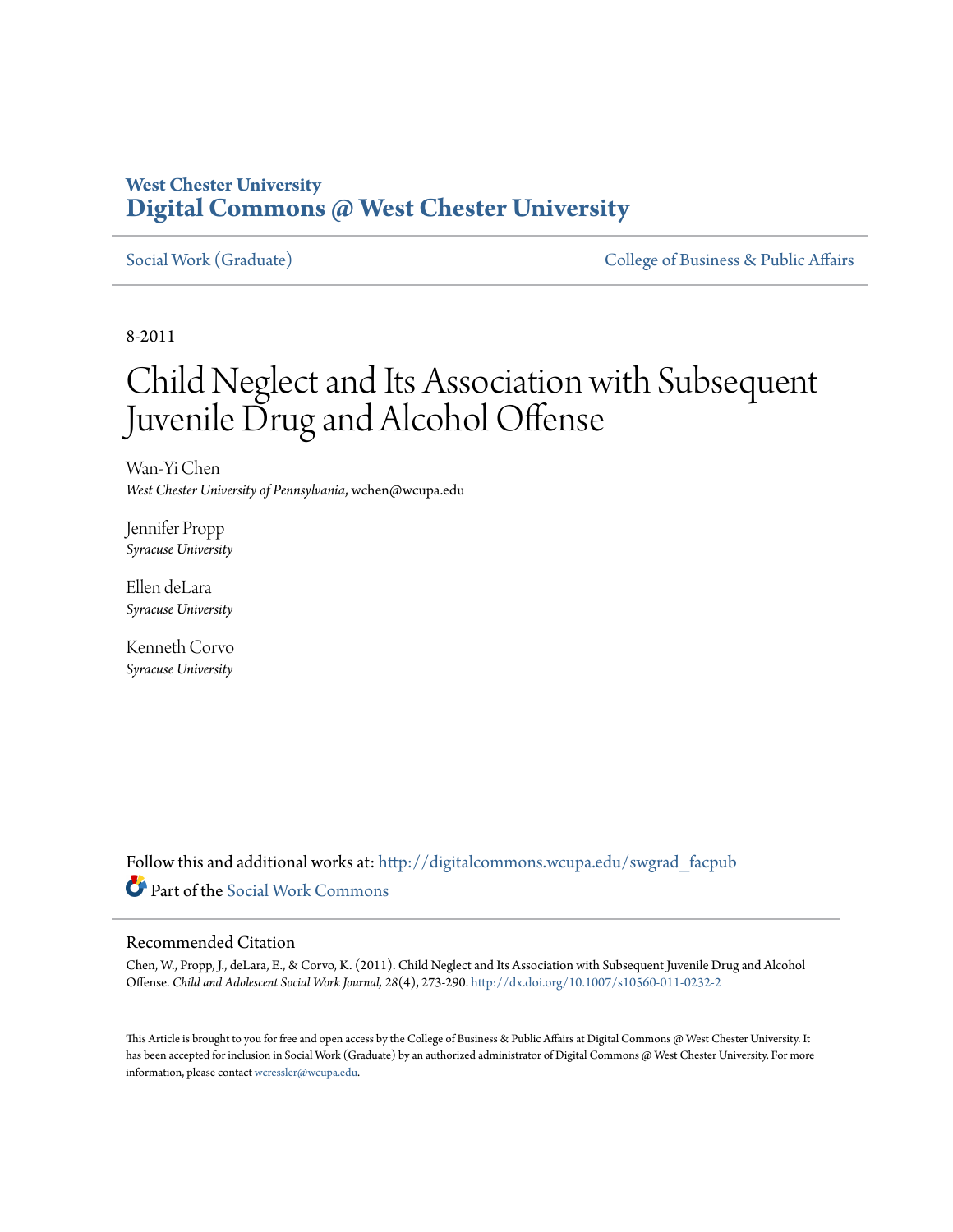### **West Chester University [Digital Commons @ West Chester University](http://digitalcommons.wcupa.edu?utm_source=digitalcommons.wcupa.edu%2Fswgrad_facpub%2F4&utm_medium=PDF&utm_campaign=PDFCoverPages)**

[Social Work \(Graduate\)](http://digitalcommons.wcupa.edu/swgrad_facpub?utm_source=digitalcommons.wcupa.edu%2Fswgrad_facpub%2F4&utm_medium=PDF&utm_campaign=PDFCoverPages) [College of Business & Public Affairs](http://digitalcommons.wcupa.edu/cbpa?utm_source=digitalcommons.wcupa.edu%2Fswgrad_facpub%2F4&utm_medium=PDF&utm_campaign=PDFCoverPages)

8-2011

# Child Neglect and Its Association with Subsequent Juvenile Drug and Alcohol Offense

Wan-Yi Chen *West Chester University of Pennsylvania*, wchen@wcupa.edu

Jennifer Propp *Syracuse University*

Ellen deLara *Syracuse University*

Kenneth Corvo *Syracuse University*

Follow this and additional works at: [http://digitalcommons.wcupa.edu/swgrad\\_facpub](http://digitalcommons.wcupa.edu/swgrad_facpub?utm_source=digitalcommons.wcupa.edu%2Fswgrad_facpub%2F4&utm_medium=PDF&utm_campaign=PDFCoverPages) Part of the [Social Work Commons](http://network.bepress.com/hgg/discipline/713?utm_source=digitalcommons.wcupa.edu%2Fswgrad_facpub%2F4&utm_medium=PDF&utm_campaign=PDFCoverPages)

#### Recommended Citation

Chen, W., Propp, J., deLara, E., & Corvo, K. (2011). Child Neglect and Its Association with Subsequent Juvenile Drug and Alcohol Offense. *Child and Adolescent Social Work Journal, 28*(4), 273-290. <http://dx.doi.org/10.1007/s10560-011-0232-2>

This Article is brought to you for free and open access by the College of Business & Public Affairs at Digital Commons @ West Chester University. It has been accepted for inclusion in Social Work (Graduate) by an authorized administrator of Digital Commons @ West Chester University. For more information, please contact [wcressler@wcupa.edu.](mailto:wcressler@wcupa.edu)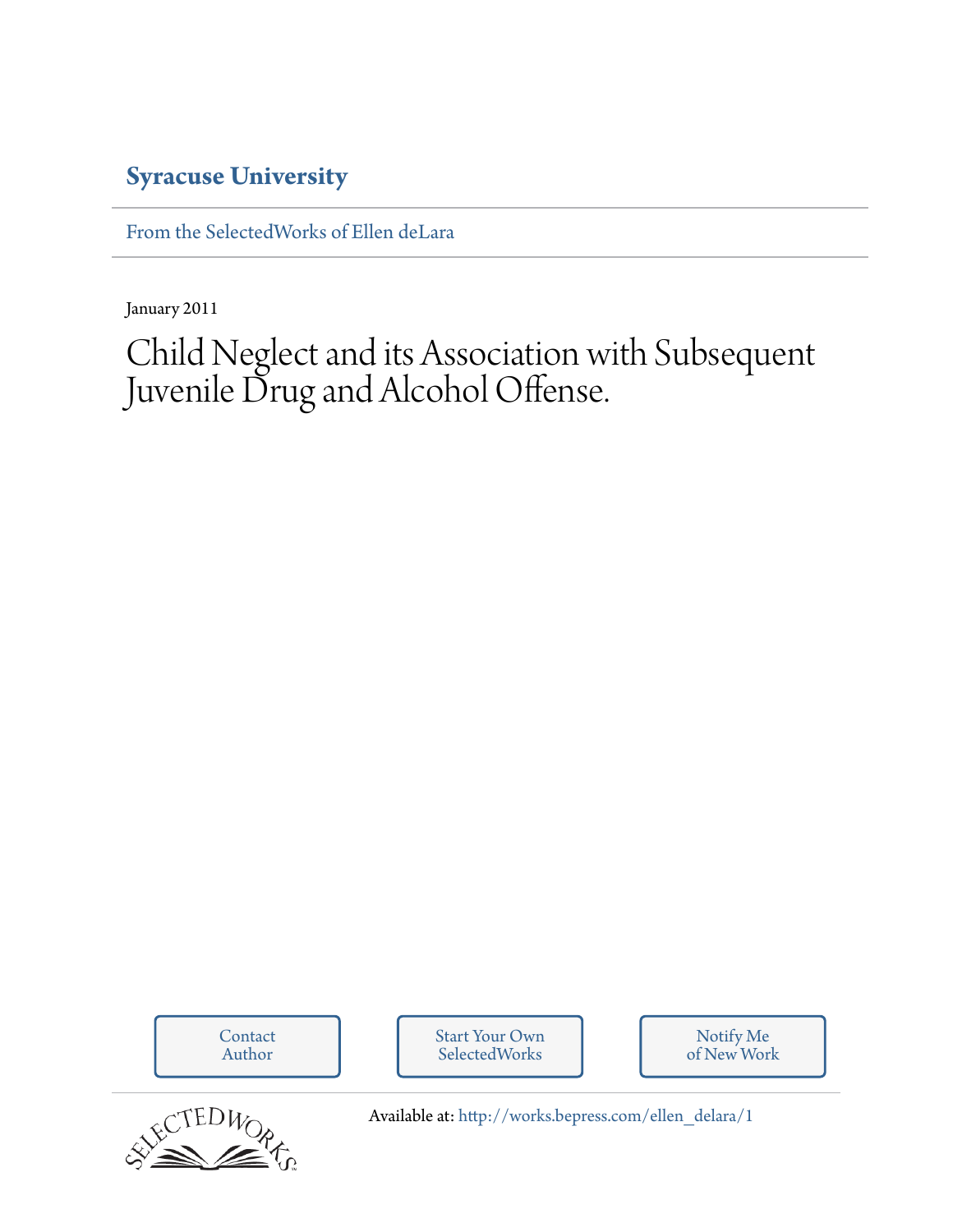## **[Syracuse University](http://syr.edu)**

[From the SelectedWorks of Ellen deLara](http://works.bepress.com/ellen_delara)

January 2011

Child Neglect and its Association with Subsequent Juvenile Drug and Alcohol Offense.

[Contact](http://works.bepress.com/ellen_delara/contact.html) Author

[Start Your Own](http://works.bepress.com/cgi/sw_user_setup.cgi) **SelectedWorks** 

Notify Me [of New Work](http://works.bepress.com/ellen_delara)



Available at: [http://works.bepress.com/ellen\\_delara/1](http://works.bepress.com/ellen_delara/1)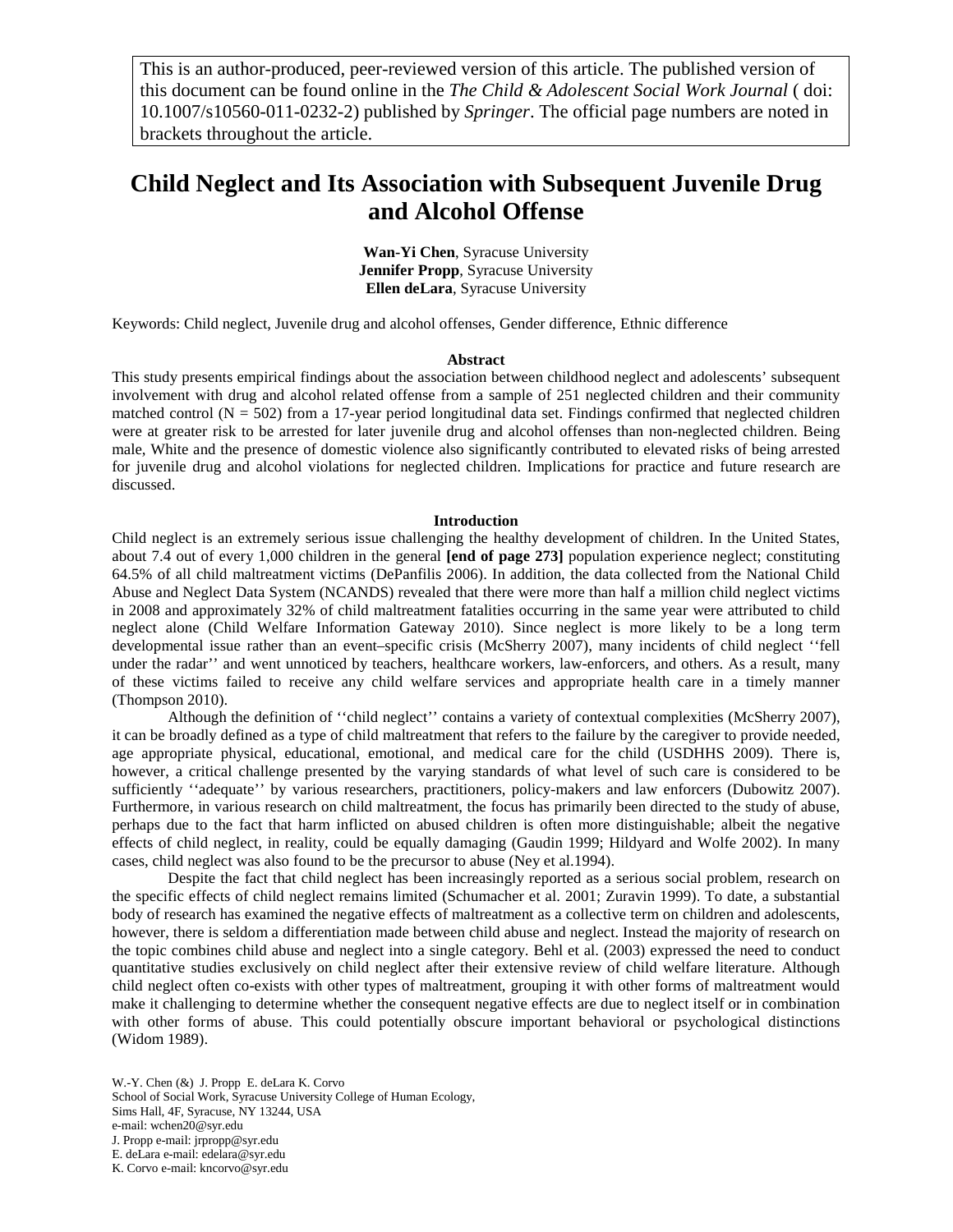This is an author-produced, peer-reviewed version of this article. The published version of this document can be found online in the *The Child & Adolescent Social Work Journal* ( doi: 10.1007/s10560-011-0232-2) published by *Springer*. The official page numbers are noted in brackets throughout the article.

### **Child Neglect and Its Association with Subsequent Juvenile Drug and Alcohol Offense**

**Wan-Yi Chen**, Syracuse University **Jennifer Propp**, Syracuse University **Ellen deLara**, Syracuse University

Keywords: Child neglect, Juvenile drug and alcohol offenses, Gender difference, Ethnic difference

#### **Abstract**

This study presents empirical findings about the association between childhood neglect and adolescents' subsequent involvement with drug and alcohol related offense from a sample of 251 neglected children and their community matched control ( $N = 502$ ) from a 17-year period longitudinal data set. Findings confirmed that neglected children were at greater risk to be arrested for later juvenile drug and alcohol offenses than non-neglected children. Being male, White and the presence of domestic violence also significantly contributed to elevated risks of being arrested for juvenile drug and alcohol violations for neglected children. Implications for practice and future research are discussed.

#### **Introduction**

Child neglect is an extremely serious issue challenging the healthy development of children. In the United States, about 7.4 out of every 1,000 children in the general **[end of page 273]** population experience neglect; constituting 64.5% of all child maltreatment victims (DePanfilis 2006). In addition, the data collected from the National Child Abuse and Neglect Data System (NCANDS) revealed that there were more than half a million child neglect victims in 2008 and approximately 32% of child maltreatment fatalities occurring in the same year were attributed to child neglect alone (Child Welfare Information Gateway 2010). Since neglect is more likely to be a long term developmental issue rather than an event–specific crisis (McSherry 2007), many incidents of child neglect ''fell under the radar'' and went unnoticed by teachers, healthcare workers, law-enforcers, and others. As a result, many of these victims failed to receive any child welfare services and appropriate health care in a timely manner (Thompson 2010).

Although the definition of ''child neglect'' contains a variety of contextual complexities (McSherry 2007), it can be broadly defined as a type of child maltreatment that refers to the failure by the caregiver to provide needed, age appropriate physical, educational, emotional, and medical care for the child (USDHHS 2009). There is, however, a critical challenge presented by the varying standards of what level of such care is considered to be sufficiently "adequate" by various researchers, practitioners, policy-makers and law enforcers (Dubowitz 2007). Furthermore, in various research on child maltreatment, the focus has primarily been directed to the study of abuse, perhaps due to the fact that harm inflicted on abused children is often more distinguishable; albeit the negative effects of child neglect, in reality, could be equally damaging (Gaudin 1999; Hildyard and Wolfe 2002). In many cases, child neglect was also found to be the precursor to abuse (Ney et al.1994).

Despite the fact that child neglect has been increasingly reported as a serious social problem, research on the specific effects of child neglect remains limited (Schumacher et al. 2001; Zuravin 1999). To date, a substantial body of research has examined the negative effects of maltreatment as a collective term on children and adolescents, however, there is seldom a differentiation made between child abuse and neglect. Instead the majority of research on the topic combines child abuse and neglect into a single category. Behl et al. (2003) expressed the need to conduct quantitative studies exclusively on child neglect after their extensive review of child welfare literature. Although child neglect often co-exists with other types of maltreatment, grouping it with other forms of maltreatment would make it challenging to determine whether the consequent negative effects are due to neglect itself or in combination with other forms of abuse. This could potentially obscure important behavioral or psychological distinctions (Widom 1989).

- W.-Y. Chen (&) J. Propp E. deLara K. Corvo School of Social Work, Syracuse University College of Human Ecology,
- Sims Hall, 4F, Syracuse, NY 13244, USA

e-mail: wchen20@syr.edu

J. Propp e-mail: jrpropp@syr.edu

E. deLara e-mail: edelara@syr.edu

K. Corvo e-mail: kncorvo@syr.edu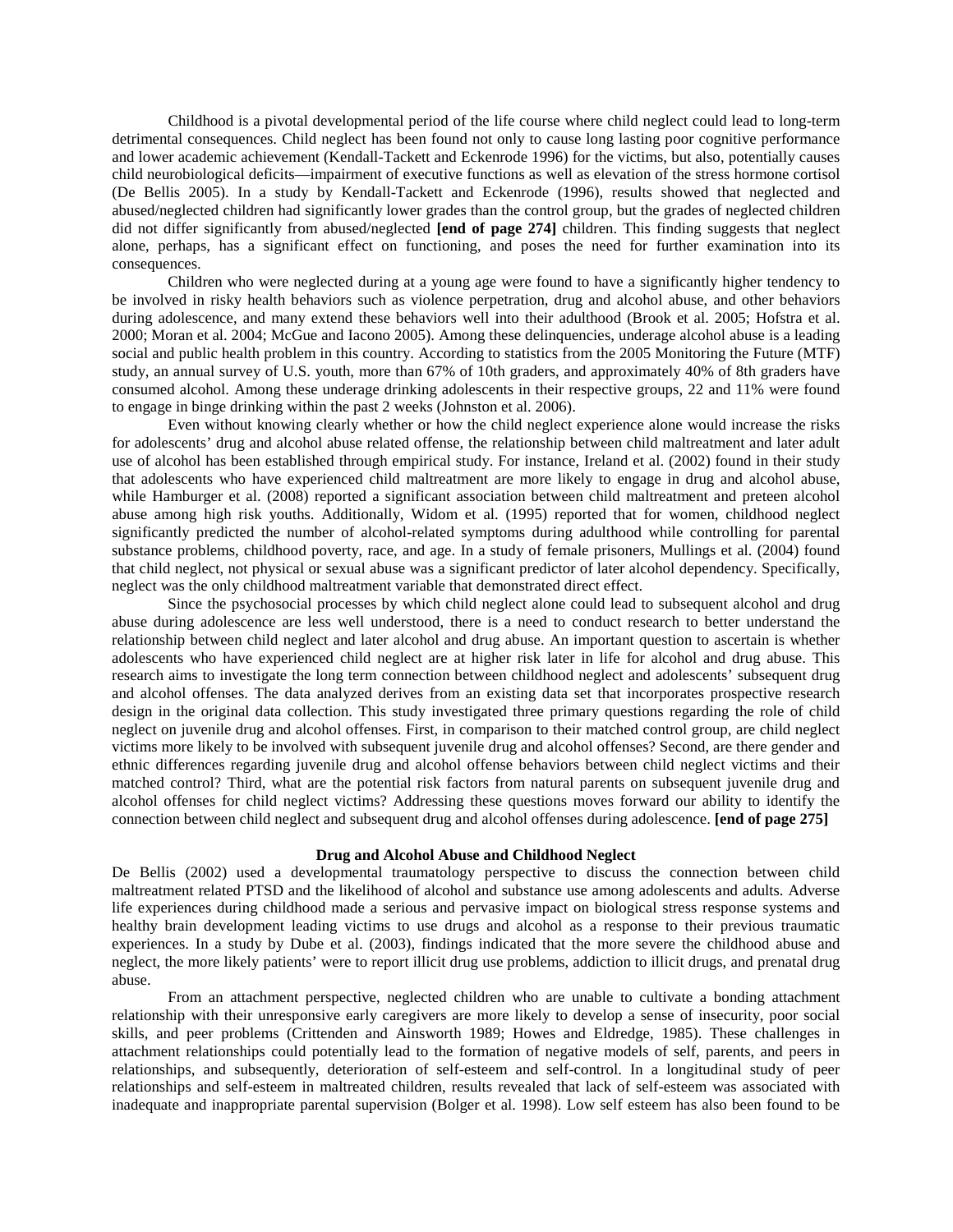Childhood is a pivotal developmental period of the life course where child neglect could lead to long-term detrimental consequences. Child neglect has been found not only to cause long lasting poor cognitive performance and lower academic achievement (Kendall-Tackett and Eckenrode 1996) for the victims, but also, potentially causes child neurobiological deficits—impairment of executive functions as well as elevation of the stress hormone cortisol (De Bellis 2005). In a study by Kendall-Tackett and Eckenrode (1996), results showed that neglected and abused/neglected children had significantly lower grades than the control group, but the grades of neglected children did not differ significantly from abused/neglected **[end of page 274]** children. This finding suggests that neglect alone, perhaps, has a significant effect on functioning, and poses the need for further examination into its consequences.

Children who were neglected during at a young age were found to have a significantly higher tendency to be involved in risky health behaviors such as violence perpetration, drug and alcohol abuse, and other behaviors during adolescence, and many extend these behaviors well into their adulthood (Brook et al. 2005; Hofstra et al. 2000; Moran et al. 2004; McGue and Iacono 2005). Among these delinquencies, underage alcohol abuse is a leading social and public health problem in this country. According to statistics from the 2005 Monitoring the Future (MTF) study, an annual survey of U.S. youth, more than 67% of 10th graders, and approximately 40% of 8th graders have consumed alcohol. Among these underage drinking adolescents in their respective groups, 22 and 11% were found to engage in binge drinking within the past 2 weeks (Johnston et al. 2006).

Even without knowing clearly whether or how the child neglect experience alone would increase the risks for adolescents' drug and alcohol abuse related offense, the relationship between child maltreatment and later adult use of alcohol has been established through empirical study. For instance, Ireland et al. (2002) found in their study that adolescents who have experienced child maltreatment are more likely to engage in drug and alcohol abuse, while Hamburger et al. (2008) reported a significant association between child maltreatment and preteen alcohol abuse among high risk youths. Additionally, Widom et al. (1995) reported that for women, childhood neglect significantly predicted the number of alcohol-related symptoms during adulthood while controlling for parental substance problems, childhood poverty, race, and age. In a study of female prisoners, Mullings et al. (2004) found that child neglect, not physical or sexual abuse was a significant predictor of later alcohol dependency. Specifically, neglect was the only childhood maltreatment variable that demonstrated direct effect.

Since the psychosocial processes by which child neglect alone could lead to subsequent alcohol and drug abuse during adolescence are less well understood, there is a need to conduct research to better understand the relationship between child neglect and later alcohol and drug abuse. An important question to ascertain is whether adolescents who have experienced child neglect are at higher risk later in life for alcohol and drug abuse. This research aims to investigate the long term connection between childhood neglect and adolescents' subsequent drug and alcohol offenses. The data analyzed derives from an existing data set that incorporates prospective research design in the original data collection. This study investigated three primary questions regarding the role of child neglect on juvenile drug and alcohol offenses. First, in comparison to their matched control group, are child neglect victims more likely to be involved with subsequent juvenile drug and alcohol offenses? Second, are there gender and ethnic differences regarding juvenile drug and alcohol offense behaviors between child neglect victims and their matched control? Third, what are the potential risk factors from natural parents on subsequent juvenile drug and alcohol offenses for child neglect victims? Addressing these questions moves forward our ability to identify the connection between child neglect and subsequent drug and alcohol offenses during adolescence. **[end of page 275]**

#### **Drug and Alcohol Abuse and Childhood Neglect**

De Bellis (2002) used a developmental traumatology perspective to discuss the connection between child maltreatment related PTSD and the likelihood of alcohol and substance use among adolescents and adults. Adverse life experiences during childhood made a serious and pervasive impact on biological stress response systems and healthy brain development leading victims to use drugs and alcohol as a response to their previous traumatic experiences. In a study by Dube et al. (2003), findings indicated that the more severe the childhood abuse and neglect, the more likely patients' were to report illicit drug use problems, addiction to illicit drugs, and prenatal drug abuse.

From an attachment perspective, neglected children who are unable to cultivate a bonding attachment relationship with their unresponsive early caregivers are more likely to develop a sense of insecurity, poor social skills, and peer problems (Crittenden and Ainsworth 1989; Howes and Eldredge, 1985). These challenges in attachment relationships could potentially lead to the formation of negative models of self, parents, and peers in relationships, and subsequently, deterioration of self-esteem and self-control. In a longitudinal study of peer relationships and self-esteem in maltreated children, results revealed that lack of self-esteem was associated with inadequate and inappropriate parental supervision (Bolger et al. 1998). Low self esteem has also been found to be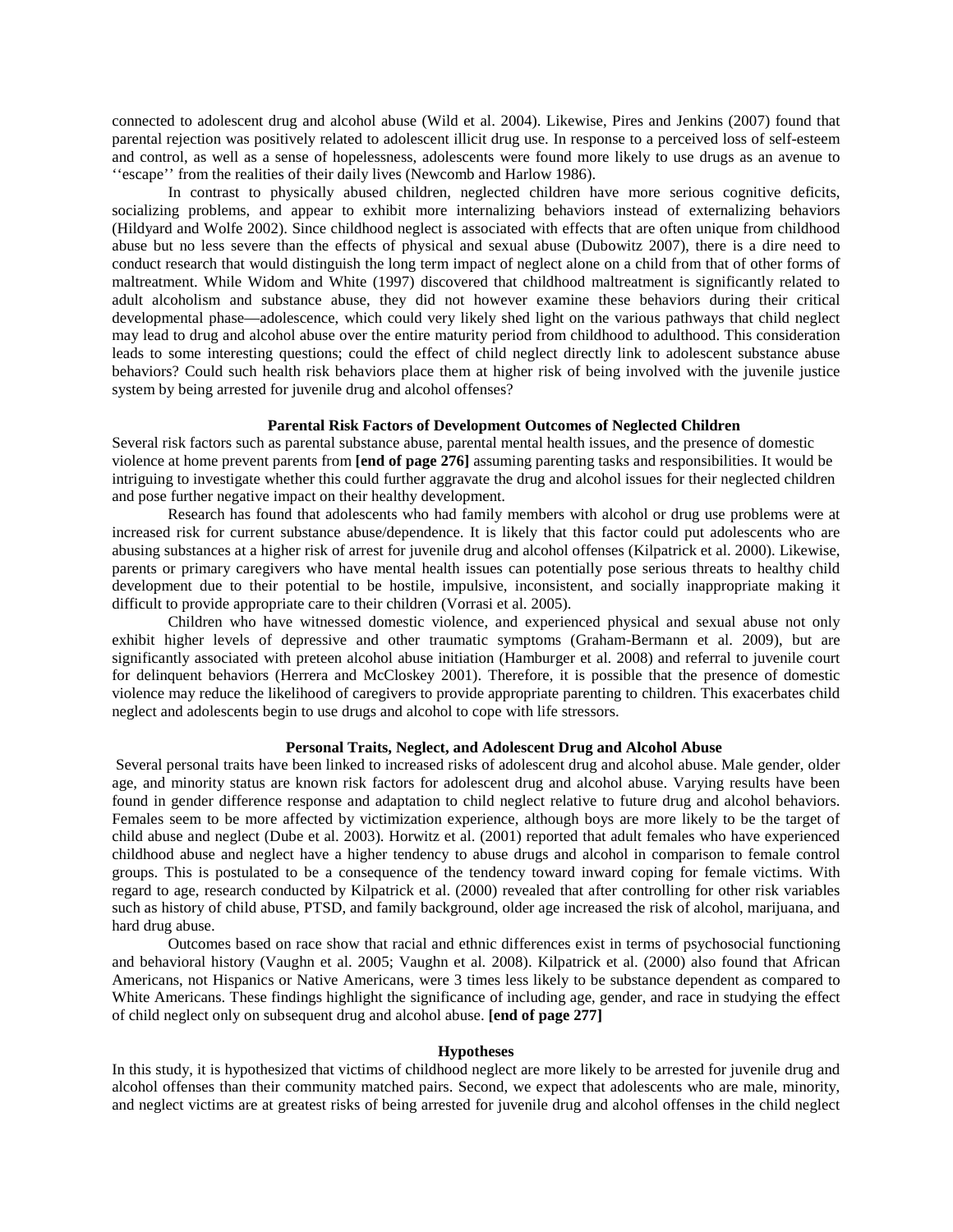connected to adolescent drug and alcohol abuse (Wild et al. 2004). Likewise, Pires and Jenkins (2007) found that parental rejection was positively related to adolescent illicit drug use. In response to a perceived loss of self-esteem and control, as well as a sense of hopelessness, adolescents were found more likely to use drugs as an avenue to ''escape'' from the realities of their daily lives (Newcomb and Harlow 1986).

In contrast to physically abused children, neglected children have more serious cognitive deficits, socializing problems, and appear to exhibit more internalizing behaviors instead of externalizing behaviors (Hildyard and Wolfe 2002). Since childhood neglect is associated with effects that are often unique from childhood abuse but no less severe than the effects of physical and sexual abuse (Dubowitz 2007), there is a dire need to conduct research that would distinguish the long term impact of neglect alone on a child from that of other forms of maltreatment. While Widom and White (1997) discovered that childhood maltreatment is significantly related to adult alcoholism and substance abuse, they did not however examine these behaviors during their critical developmental phase—adolescence, which could very likely shed light on the various pathways that child neglect may lead to drug and alcohol abuse over the entire maturity period from childhood to adulthood. This consideration leads to some interesting questions; could the effect of child neglect directly link to adolescent substance abuse behaviors? Could such health risk behaviors place them at higher risk of being involved with the juvenile justice system by being arrested for juvenile drug and alcohol offenses?

#### **Parental Risk Factors of Development Outcomes of Neglected Children**

Several risk factors such as parental substance abuse, parental mental health issues, and the presence of domestic violence at home prevent parents from **[end of page 276]** assuming parenting tasks and responsibilities. It would be intriguing to investigate whether this could further aggravate the drug and alcohol issues for their neglected children and pose further negative impact on their healthy development.

Research has found that adolescents who had family members with alcohol or drug use problems were at increased risk for current substance abuse/dependence. It is likely that this factor could put adolescents who are abusing substances at a higher risk of arrest for juvenile drug and alcohol offenses (Kilpatrick et al. 2000). Likewise, parents or primary caregivers who have mental health issues can potentially pose serious threats to healthy child development due to their potential to be hostile, impulsive, inconsistent, and socially inappropriate making it difficult to provide appropriate care to their children (Vorrasi et al. 2005).

Children who have witnessed domestic violence, and experienced physical and sexual abuse not only exhibit higher levels of depressive and other traumatic symptoms (Graham-Bermann et al. 2009), but are significantly associated with preteen alcohol abuse initiation (Hamburger et al. 2008) and referral to juvenile court for delinquent behaviors (Herrera and McCloskey 2001). Therefore, it is possible that the presence of domestic violence may reduce the likelihood of caregivers to provide appropriate parenting to children. This exacerbates child neglect and adolescents begin to use drugs and alcohol to cope with life stressors.

#### **Personal Traits, Neglect, and Adolescent Drug and Alcohol Abuse**

Several personal traits have been linked to increased risks of adolescent drug and alcohol abuse. Male gender, older age, and minority status are known risk factors for adolescent drug and alcohol abuse. Varying results have been found in gender difference response and adaptation to child neglect relative to future drug and alcohol behaviors. Females seem to be more affected by victimization experience, although boys are more likely to be the target of child abuse and neglect (Dube et al. 2003). Horwitz et al. (2001) reported that adult females who have experienced childhood abuse and neglect have a higher tendency to abuse drugs and alcohol in comparison to female control groups. This is postulated to be a consequence of the tendency toward inward coping for female victims. With regard to age, research conducted by Kilpatrick et al. (2000) revealed that after controlling for other risk variables such as history of child abuse, PTSD, and family background, older age increased the risk of alcohol, marijuana, and hard drug abuse.

Outcomes based on race show that racial and ethnic differences exist in terms of psychosocial functioning and behavioral history (Vaughn et al. 2005; Vaughn et al. 2008). Kilpatrick et al. (2000) also found that African Americans, not Hispanics or Native Americans, were 3 times less likely to be substance dependent as compared to White Americans. These findings highlight the significance of including age, gender, and race in studying the effect of child neglect only on subsequent drug and alcohol abuse. **[end of page 277]** 

#### **Hypotheses**

In this study, it is hypothesized that victims of childhood neglect are more likely to be arrested for juvenile drug and alcohol offenses than their community matched pairs. Second, we expect that adolescents who are male, minority, and neglect victims are at greatest risks of being arrested for juvenile drug and alcohol offenses in the child neglect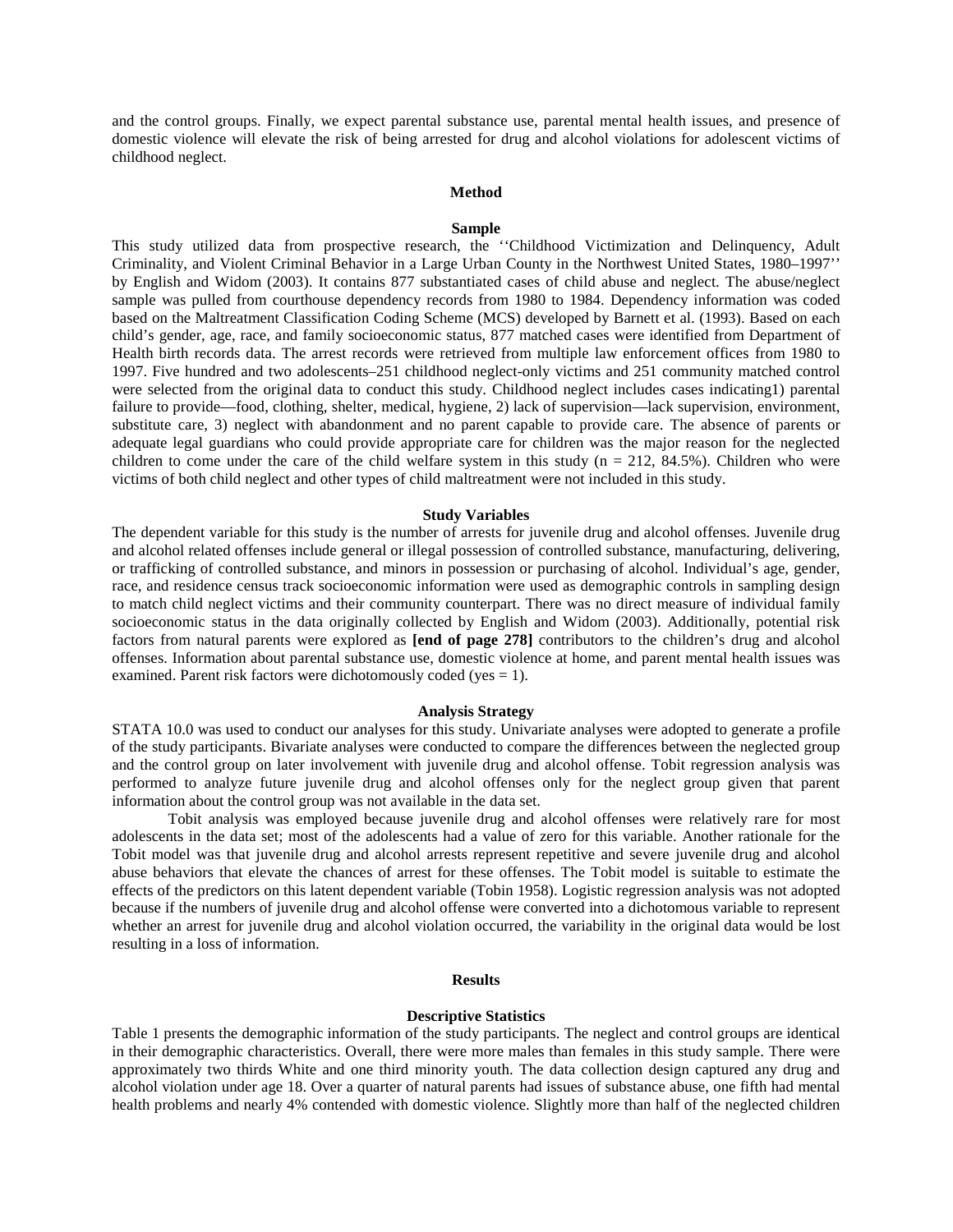and the control groups. Finally, we expect parental substance use, parental mental health issues, and presence of domestic violence will elevate the risk of being arrested for drug and alcohol violations for adolescent victims of childhood neglect.

#### **Method**

#### **Sample**

This study utilized data from prospective research, the ''Childhood Victimization and Delinquency, Adult Criminality, and Violent Criminal Behavior in a Large Urban County in the Northwest United States, 1980–1997'' by English and Widom (2003). It contains 877 substantiated cases of child abuse and neglect. The abuse/neglect sample was pulled from courthouse dependency records from 1980 to 1984. Dependency information was coded based on the Maltreatment Classification Coding Scheme (MCS) developed by Barnett et al. (1993). Based on each child's gender, age, race, and family socioeconomic status, 877 matched cases were identified from Department of Health birth records data. The arrest records were retrieved from multiple law enforcement offices from 1980 to 1997. Five hundred and two adolescents–251 childhood neglect-only victims and 251 community matched control were selected from the original data to conduct this study. Childhood neglect includes cases indicating1) parental failure to provide—food, clothing, shelter, medical, hygiene, 2) lack of supervision—lack supervision, environment, substitute care, 3) neglect with abandonment and no parent capable to provide care. The absence of parents or adequate legal guardians who could provide appropriate care for children was the major reason for the neglected children to come under the care of the child welfare system in this study ( $n = 212, 84.5\%$ ). Children who were victims of both child neglect and other types of child maltreatment were not included in this study.

#### **Study Variables**

The dependent variable for this study is the number of arrests for juvenile drug and alcohol offenses. Juvenile drug and alcohol related offenses include general or illegal possession of controlled substance, manufacturing, delivering, or trafficking of controlled substance, and minors in possession or purchasing of alcohol. Individual's age, gender, race, and residence census track socioeconomic information were used as demographic controls in sampling design to match child neglect victims and their community counterpart. There was no direct measure of individual family socioeconomic status in the data originally collected by English and Widom (2003). Additionally, potential risk factors from natural parents were explored as **[end of page 278]** contributors to the children's drug and alcohol offenses. Information about parental substance use, domestic violence at home, and parent mental health issues was examined. Parent risk factors were dichotomously coded (yes = 1).

#### **Analysis Strategy**

STATA 10.0 was used to conduct our analyses for this study. Univariate analyses were adopted to generate a profile of the study participants. Bivariate analyses were conducted to compare the differences between the neglected group and the control group on later involvement with juvenile drug and alcohol offense. Tobit regression analysis was performed to analyze future juvenile drug and alcohol offenses only for the neglect group given that parent information about the control group was not available in the data set.

Tobit analysis was employed because juvenile drug and alcohol offenses were relatively rare for most adolescents in the data set; most of the adolescents had a value of zero for this variable. Another rationale for the Tobit model was that juvenile drug and alcohol arrests represent repetitive and severe juvenile drug and alcohol abuse behaviors that elevate the chances of arrest for these offenses. The Tobit model is suitable to estimate the effects of the predictors on this latent dependent variable (Tobin 1958). Logistic regression analysis was not adopted because if the numbers of juvenile drug and alcohol offense were converted into a dichotomous variable to represent whether an arrest for juvenile drug and alcohol violation occurred, the variability in the original data would be lost resulting in a loss of information.

#### **Results**

#### **Descriptive Statistics**

Table 1 presents the demographic information of the study participants. The neglect and control groups are identical in their demographic characteristics. Overall, there were more males than females in this study sample. There were approximately two thirds White and one third minority youth. The data collection design captured any drug and alcohol violation under age 18. Over a quarter of natural parents had issues of substance abuse, one fifth had mental health problems and nearly 4% contended with domestic violence. Slightly more than half of the neglected children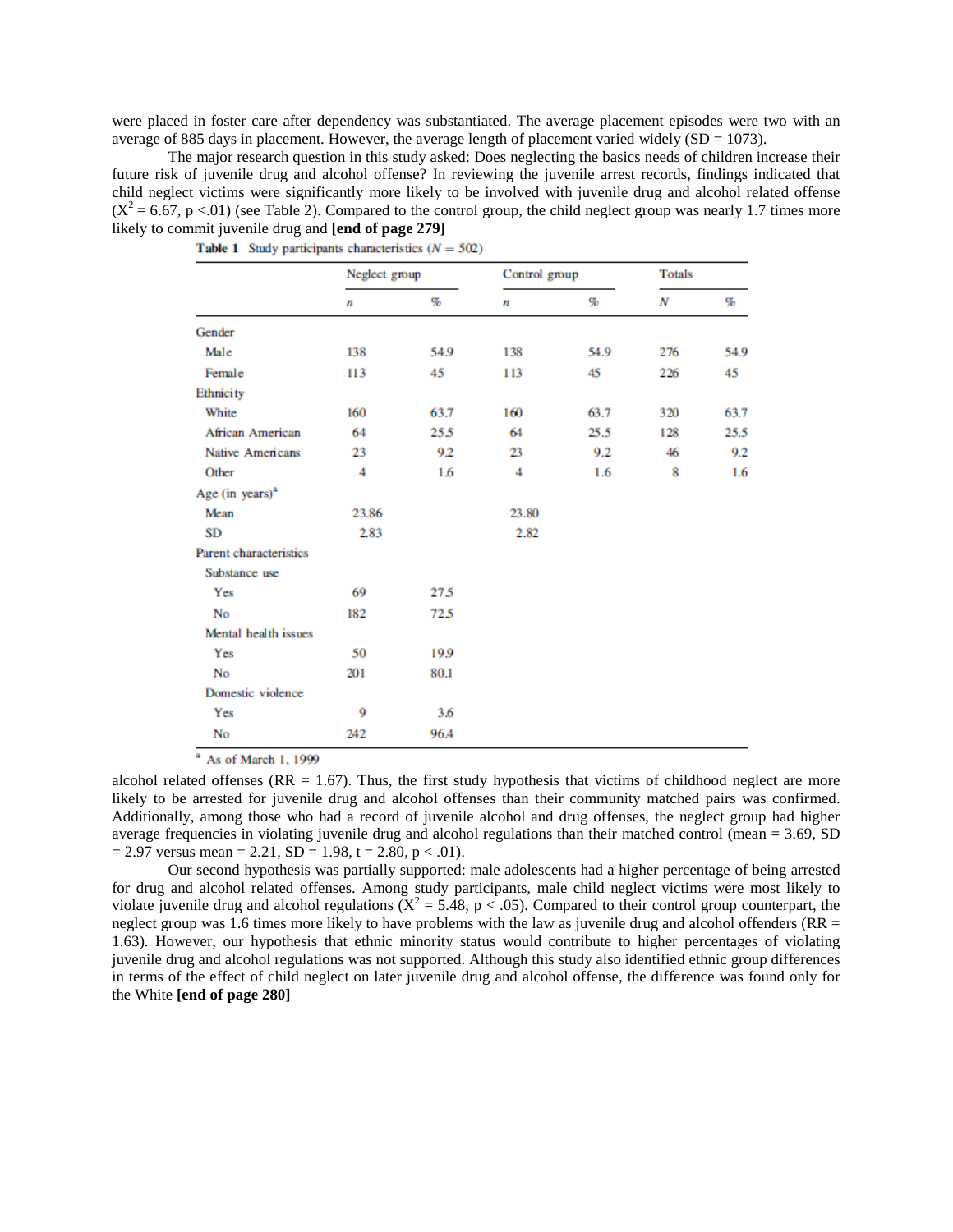were placed in foster care after dependency was substantiated. The average placement episodes were two with an average of 885 days in placement. However, the average length of placement varied widely  $(SD = 1073)$ .

The major research question in this study asked: Does neglecting the basics needs of children increase their future risk of juvenile drug and alcohol offense? In reviewing the juvenile arrest records, findings indicated that child neglect victims were significantly more likely to be involved with juvenile drug and alcohol related offense  $(X^2 = 6.67, p < 0.01)$  (see Table 2). Compared to the control group, the child neglect group was nearly 1.7 times more likely to commit juvenile drug and **[end of page 279]** 

|                               | Neglect group |      |       | Control group |     | <b>Totals</b> |  |  |
|-------------------------------|---------------|------|-------|---------------|-----|---------------|--|--|
|                               | n             | %    | n     | %             | N   | %             |  |  |
| Gender                        |               |      |       |               |     |               |  |  |
| Male                          | 138           | 54.9 | 138   | 54.9          | 276 | 54.9          |  |  |
| Female                        | 113           | 45   | 113   | 45            | 226 | 45            |  |  |
| Ethnicity                     |               |      |       |               |     |               |  |  |
| White                         | 160           | 63.7 | 160   | 63.7          | 320 | 63.7          |  |  |
| African American              | 64            | 25.5 | 64    | 25.5          | 128 | 25.5          |  |  |
| Native Americans              | 23            | 9.2  | 23    | 9.2           | 46  | 9.2           |  |  |
| Other                         | 4             | 1.6  | 4     | 1.6           | 8   | 1.6           |  |  |
| Age (in years) $a$            |               |      |       |               |     |               |  |  |
| Mean                          | 23.86         |      | 23.80 |               |     |               |  |  |
| <b>SD</b>                     | 2.83          |      | 2.82  |               |     |               |  |  |
| <b>Parent characteristics</b> |               |      |       |               |     |               |  |  |
| Substance use                 |               |      |       |               |     |               |  |  |
| Yes                           | 69            | 27.5 |       |               |     |               |  |  |
| No                            | 182           | 72.5 |       |               |     |               |  |  |
| Mental health issues          |               |      |       |               |     |               |  |  |
| Yes                           | 50            | 19.9 |       |               |     |               |  |  |
| No                            | 201           | 80.1 |       |               |     |               |  |  |
| Domestic violence             |               |      |       |               |     |               |  |  |
| Yes                           | 9             | 3.6  |       |               |     |               |  |  |
| No                            | 242           | 96.4 |       |               |     |               |  |  |

**Table 1** Study participants characteristics  $(N = 502)$ 

 $A$  As of March 1, 1999

alcohol related offenses ( $RR = 1.67$ ). Thus, the first study hypothesis that victims of childhood neglect are more likely to be arrested for juvenile drug and alcohol offenses than their community matched pairs was confirmed. Additionally, among those who had a record of juvenile alcohol and drug offenses, the neglect group had higher average frequencies in violating juvenile drug and alcohol regulations than their matched control (mean = 3.69, SD  $= 2.97$  versus mean  $= 2.21$ , SD  $= 1.98$ ,  $t = 2.80$ ,  $p < .01$ ).

Our second hypothesis was partially supported: male adolescents had a higher percentage of being arrested for drug and alcohol related offenses. Among study participants, male child neglect victims were most likely to violate juvenile drug and alcohol regulations ( $X^2 = 5.48$ , p < .05). Compared to their control group counterpart, the neglect group was 1.6 times more likely to have problems with the law as juvenile drug and alcohol offenders ( $RR =$ 1.63). However, our hypothesis that ethnic minority status would contribute to higher percentages of violating juvenile drug and alcohol regulations was not supported. Although this study also identified ethnic group differences in terms of the effect of child neglect on later juvenile drug and alcohol offense, the difference was found only for the White **[end of page 280]**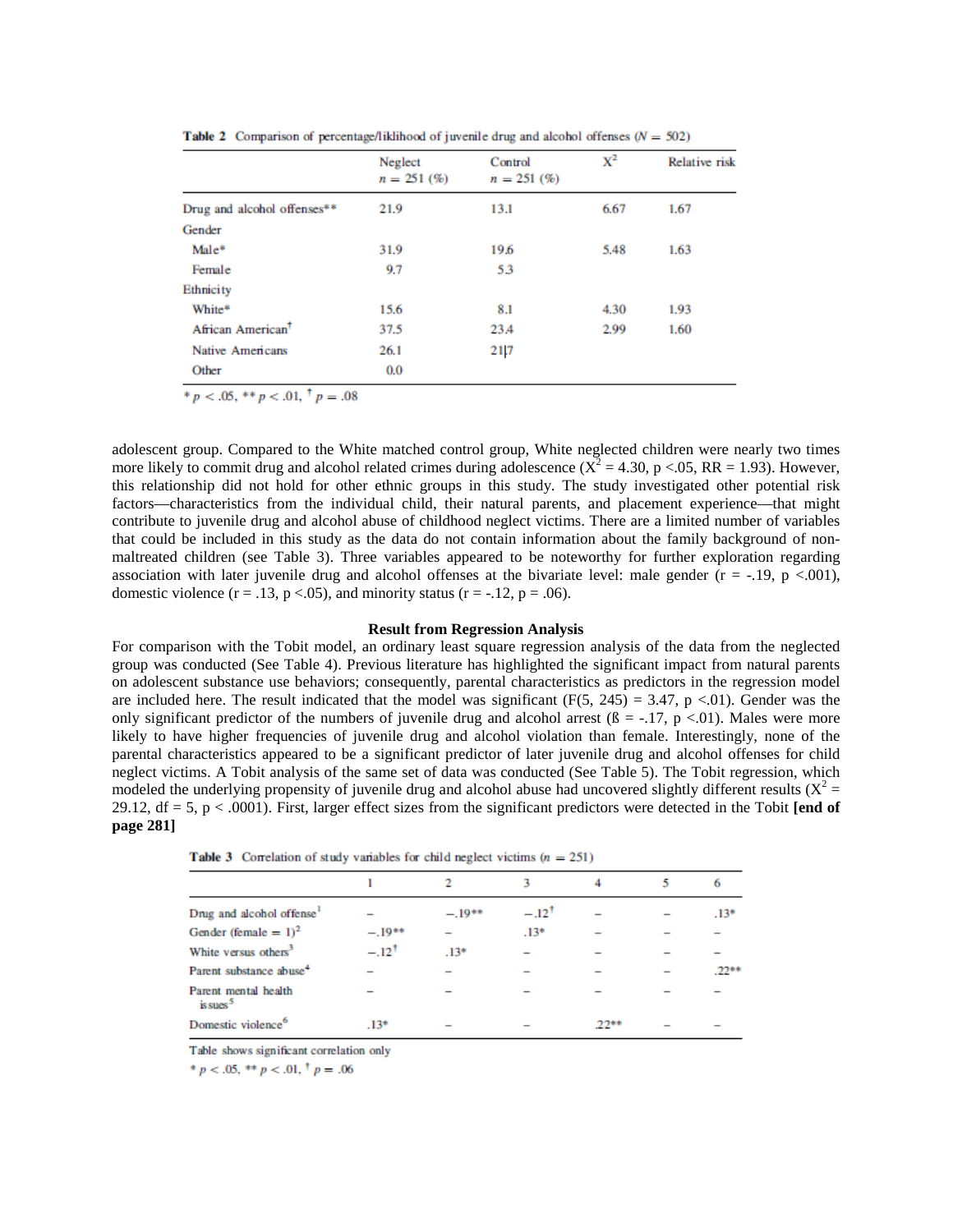|                               | Neglect<br>$n = 251 (%)$ | Control<br>$n = 251 (%)$ | $\mathbf{X}^2$ | Relative risk |
|-------------------------------|--------------------------|--------------------------|----------------|---------------|
| Drug and alcohol offenses**   | 21.9                     | 13.1                     | 6.67           | 1.67          |
| Gender                        |                          |                          |                |               |
| Male*                         | 31.9                     | 19.6                     | 5.48           | 1.63          |
| Female                        | 9.7                      | 53                       |                |               |
| Ethnicity                     |                          |                          |                |               |
| White*                        | 15.6                     | 8.1                      | 4.30           | 1.93          |
| African American <sup>†</sup> | 37.5                     | 23.4                     | 2.99           | 1.60          |
| Native Americans              | 26.1                     | 21,7                     |                |               |
| Other                         | 0.0                      |                          |                |               |

**Table 2** Comparison of percentage/liklihood of juvenile drug and alcohol offenses  $(N = 502)$ 

\*  $p < .05$ , \*\*  $p < .01$ , '  $p = .08$ 

adolescent group. Compared to the White matched control group, White neglected children were nearly two times more likely to commit drug and alcohol related crimes during adolescence  $(X^2 = 4.30, p < 0.05, RR = 1.93)$ . However, this relationship did not hold for other ethnic groups in this study. The study investigated other potential risk factors—characteristics from the individual child, their natural parents, and placement experience—that might contribute to juvenile drug and alcohol abuse of childhood neglect victims. There are a limited number of variables that could be included in this study as the data do not contain information about the family background of nonmaltreated children (see Table 3). Three variables appeared to be noteworthy for further exploration regarding association with later juvenile drug and alcohol offenses at the bivariate level: male gender ( $r = -.19$ ,  $p < .001$ ), domestic violence  $(r = .13, p < .05)$ , and minority status  $(r = .12, p = .06)$ .

#### **Result from Regression Analysis**

For comparison with the Tobit model, an ordinary least square regression analysis of the data from the neglected group was conducted (See Table 4). Previous literature has highlighted the significant impact from natural parents on adolescent substance use behaviors; consequently, parental characteristics as predictors in the regression model are included here. The result indicated that the model was significant ( $F(5, 245) = 3.47$ , p <.01). Gender was the only significant predictor of the numbers of juvenile drug and alcohol arrest ( $\beta$  = -.17, p <.01). Males were more likely to have higher frequencies of juvenile drug and alcohol violation than female. Interestingly, none of the parental characteristics appeared to be a significant predictor of later juvenile drug and alcohol offenses for child neglect victims. A Tobit analysis of the same set of data was conducted (See Table 5). The Tobit regression, which modeled the underlying propensity of juvenile drug and alcohol abuse had uncovered slightly different results  $(X^2 =$ 29.12, df = 5, p < .0001). First, larger effect sizes from the significant predictors were detected in the Tobit **[end of page 281]**

| <b>Table 3</b> Correlation of study variables for child neglect victims $(n = 251)$ |  |  |  |  |  |  |  |  |  |  |  |
|-------------------------------------------------------------------------------------|--|--|--|--|--|--|--|--|--|--|--|
|-------------------------------------------------------------------------------------|--|--|--|--|--|--|--|--|--|--|--|

|                                              |                  |          |                     |      | $\circ$ |
|----------------------------------------------|------------------|----------|---------------------|------|---------|
| Drug and alcohol offense <sup>1</sup>        |                  | $-.19**$ | $-.12$ <sup>1</sup> |      | $.13*$  |
| Gender (female = $1)^2$                      | $-.19**$         |          | $.13*$              |      |         |
| White versus others <sup>3</sup>             | $-.12^{\dagger}$ | $.13*$   |                     |      |         |
| Parent substance abuse <sup>4</sup>          |                  |          |                     |      | $22**$  |
| Parent mental health<br>is sues <sup>5</sup> |                  |          |                     |      |         |
| Domestic violence <sup>6</sup>               | $.13*$           |          |                     | 22** |         |

Table shows significant correlation only

\*  $p < .05$ , \*\*  $p < .01$ , †  $p = .06$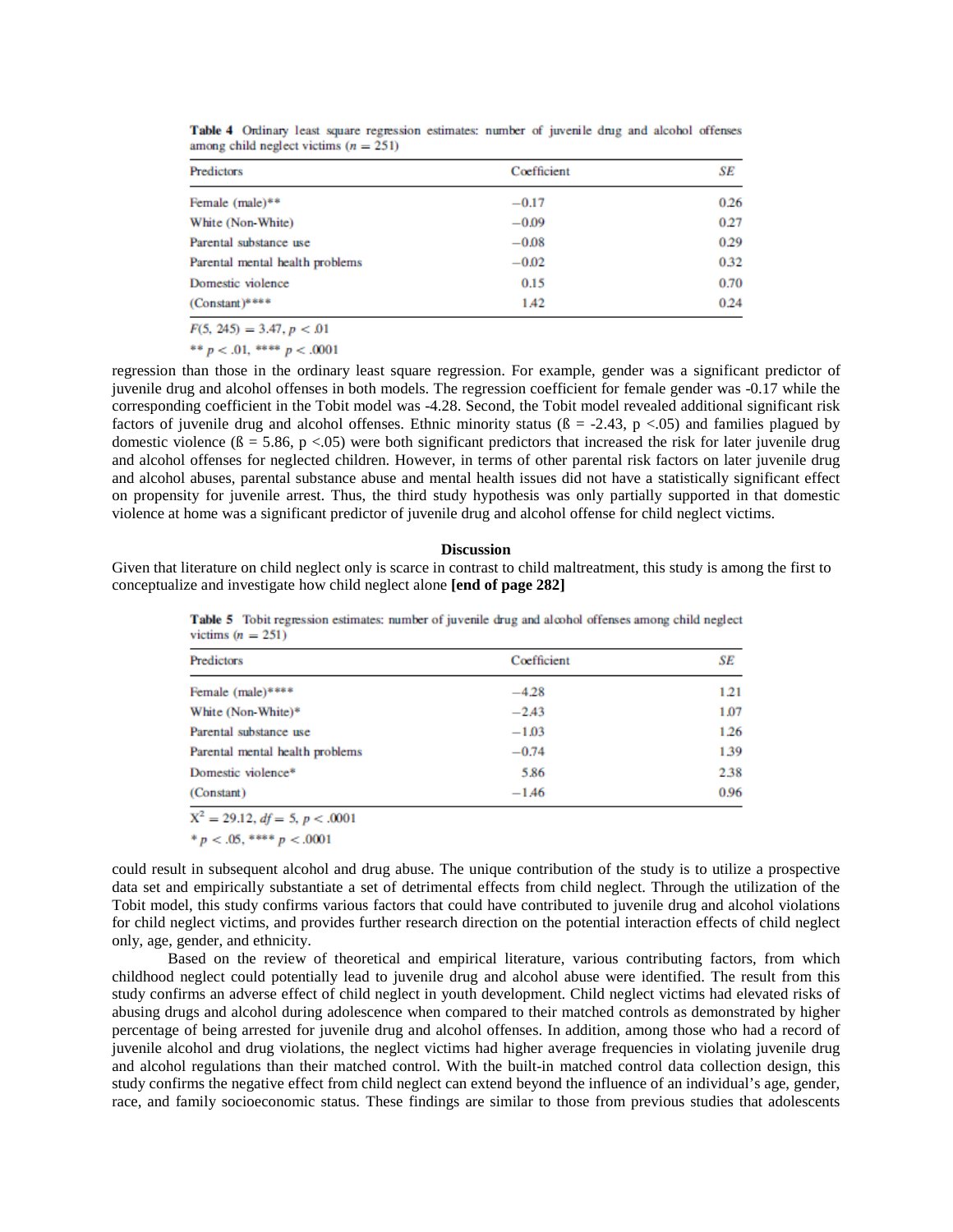| Coefficient | SE   |
|-------------|------|
| $-0.17$     | 0.26 |
| $-0.09$     | 0.27 |
| $-0.08$     | 0.29 |
| $-0.02$     | 0.32 |
| 0.15        | 0.70 |
| 1.42        | 0.24 |
|             |      |

Table 4 Ordinary least square regression estimates: number of juvenile drug and alcohol offenses among child neglect victims  $(n = 251)$ 

\*\*  $p < .01$ , \*\*\*\*  $p < .0001$ 

regression than those in the ordinary least square regression. For example, gender was a significant predictor of juvenile drug and alcohol offenses in both models. The regression coefficient for female gender was -0.17 while the corresponding coefficient in the Tobit model was -4.28. Second, the Tobit model revealed additional significant risk factors of juvenile drug and alcohol offenses. Ethnic minority status ( $\beta$  = -2.43, p <.05) and families plagued by domestic violence ( $\beta$  = 5.86, p <.05) were both significant predictors that increased the risk for later juvenile drug and alcohol offenses for neglected children. However, in terms of other parental risk factors on later juvenile drug and alcohol abuses, parental substance abuse and mental health issues did not have a statistically significant effect on propensity for juvenile arrest. Thus, the third study hypothesis was only partially supported in that domestic violence at home was a significant predictor of juvenile drug and alcohol offense for child neglect victims.

#### **Discussion**

Given that literature on child neglect only is scarce in contrast to child maltreatment, this study is among the first to conceptualize and investigate how child neglect alone **[end of page 282]** 

| Predictors                      | Coefficient | SE   |
|---------------------------------|-------------|------|
| Female (male)****               | $-4.28$     | 1.21 |
| White (Non-White)*              | $-2.43$     | 1.07 |
| Parental substance use          | $-1.03$     | 1.26 |
| Parental mental health problems | $-0.74$     | 1.39 |
| Domestic violence*              | 5.86        | 2.38 |
| (Constant)                      | $-1.46$     | 0.96 |
|                                 |             |      |

 $X^2 = 29.12$ ,  $df = 5$ ,  $p < .0001$ 

\*  $p < .05$ , \*\*\*\*  $p < .0001$ 

could result in subsequent alcohol and drug abuse. The unique contribution of the study is to utilize a prospective data set and empirically substantiate a set of detrimental effects from child neglect. Through the utilization of the Tobit model, this study confirms various factors that could have contributed to juvenile drug and alcohol violations for child neglect victims, and provides further research direction on the potential interaction effects of child neglect only, age, gender, and ethnicity.

Based on the review of theoretical and empirical literature, various contributing factors, from which childhood neglect could potentially lead to juvenile drug and alcohol abuse were identified. The result from this study confirms an adverse effect of child neglect in youth development. Child neglect victims had elevated risks of abusing drugs and alcohol during adolescence when compared to their matched controls as demonstrated by higher percentage of being arrested for juvenile drug and alcohol offenses. In addition, among those who had a record of juvenile alcohol and drug violations, the neglect victims had higher average frequencies in violating juvenile drug and alcohol regulations than their matched control. With the built-in matched control data collection design, this study confirms the negative effect from child neglect can extend beyond the influence of an individual's age, gender, race, and family socioeconomic status. These findings are similar to those from previous studies that adolescents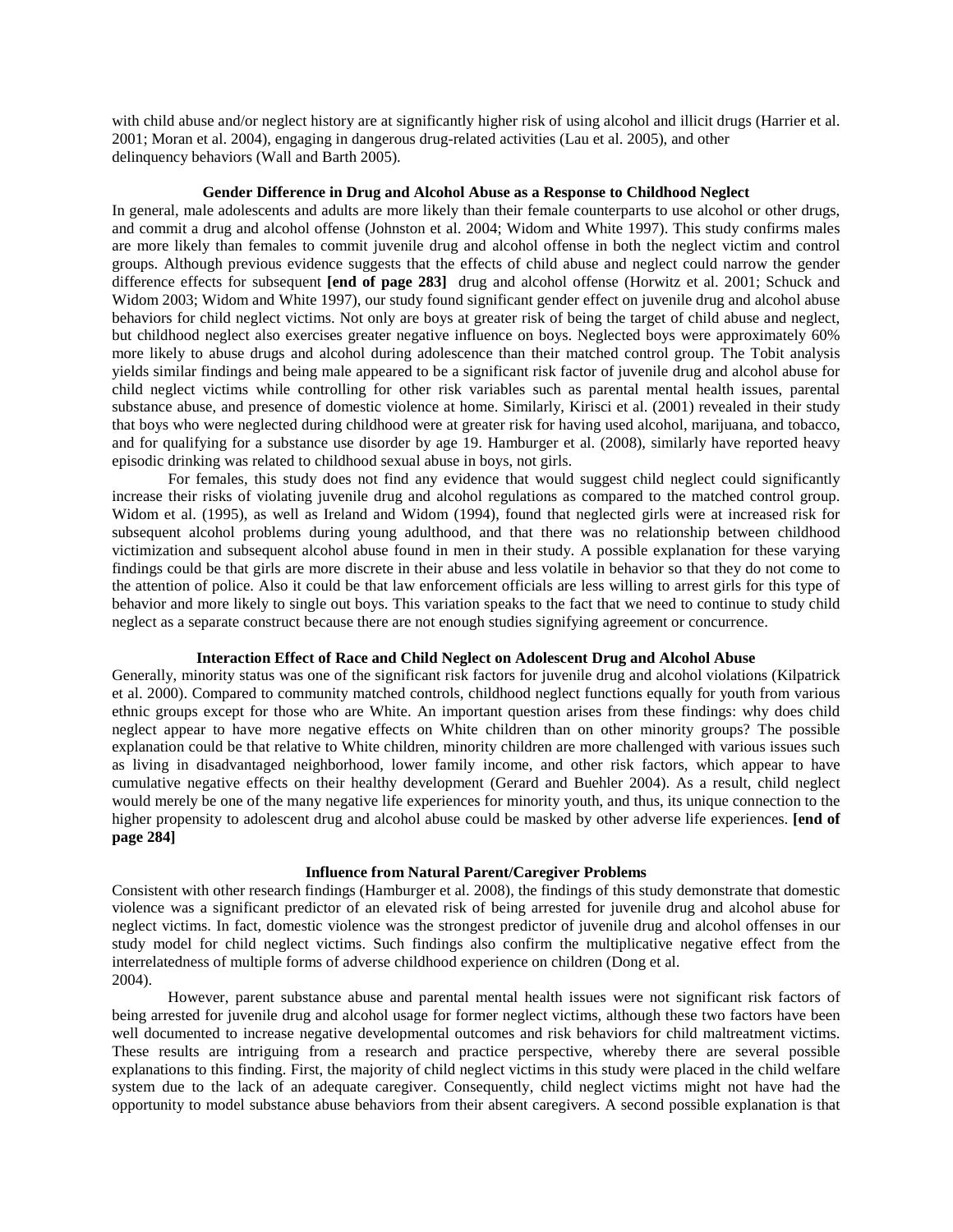with child abuse and/or neglect history are at significantly higher risk of using alcohol and illicit drugs (Harrier et al. 2001; Moran et al. 2004), engaging in dangerous drug-related activities (Lau et al. 2005), and other delinquency behaviors (Wall and Barth 2005).

#### **Gender Difference in Drug and Alcohol Abuse as a Response to Childhood Neglect**

In general, male adolescents and adults are more likely than their female counterparts to use alcohol or other drugs, and commit a drug and alcohol offense (Johnston et al. 2004; Widom and White 1997). This study confirms males are more likely than females to commit juvenile drug and alcohol offense in both the neglect victim and control groups. Although previous evidence suggests that the effects of child abuse and neglect could narrow the gender difference effects for subsequent **[end of page 283]** drug and alcohol offense (Horwitz et al. 2001; Schuck and Widom 2003; Widom and White 1997), our study found significant gender effect on juvenile drug and alcohol abuse behaviors for child neglect victims. Not only are boys at greater risk of being the target of child abuse and neglect, but childhood neglect also exercises greater negative influence on boys. Neglected boys were approximately 60% more likely to abuse drugs and alcohol during adolescence than their matched control group. The Tobit analysis yields similar findings and being male appeared to be a significant risk factor of juvenile drug and alcohol abuse for child neglect victims while controlling for other risk variables such as parental mental health issues, parental substance abuse, and presence of domestic violence at home. Similarly, Kirisci et al. (2001) revealed in their study that boys who were neglected during childhood were at greater risk for having used alcohol, marijuana, and tobacco, and for qualifying for a substance use disorder by age 19. Hamburger et al. (2008), similarly have reported heavy episodic drinking was related to childhood sexual abuse in boys, not girls.

For females, this study does not find any evidence that would suggest child neglect could significantly increase their risks of violating juvenile drug and alcohol regulations as compared to the matched control group. Widom et al. (1995), as well as Ireland and Widom (1994), found that neglected girls were at increased risk for subsequent alcohol problems during young adulthood, and that there was no relationship between childhood victimization and subsequent alcohol abuse found in men in their study. A possible explanation for these varying findings could be that girls are more discrete in their abuse and less volatile in behavior so that they do not come to the attention of police. Also it could be that law enforcement officials are less willing to arrest girls for this type of behavior and more likely to single out boys. This variation speaks to the fact that we need to continue to study child neglect as a separate construct because there are not enough studies signifying agreement or concurrence.

#### **Interaction Effect of Race and Child Neglect on Adolescent Drug and Alcohol Abuse**

Generally, minority status was one of the significant risk factors for juvenile drug and alcohol violations (Kilpatrick et al. 2000). Compared to community matched controls, childhood neglect functions equally for youth from various ethnic groups except for those who are White. An important question arises from these findings: why does child neglect appear to have more negative effects on White children than on other minority groups? The possible explanation could be that relative to White children, minority children are more challenged with various issues such as living in disadvantaged neighborhood, lower family income, and other risk factors, which appear to have cumulative negative effects on their healthy development (Gerard and Buehler 2004). As a result, child neglect would merely be one of the many negative life experiences for minority youth, and thus, its unique connection to the higher propensity to adolescent drug and alcohol abuse could be masked by other adverse life experiences. **[end of page 284]**

### **Influence from Natural Parent/Caregiver Problems**

Consistent with other research findings (Hamburger et al. 2008), the findings of this study demonstrate that domestic violence was a significant predictor of an elevated risk of being arrested for juvenile drug and alcohol abuse for neglect victims. In fact, domestic violence was the strongest predictor of juvenile drug and alcohol offenses in our study model for child neglect victims. Such findings also confirm the multiplicative negative effect from the interrelatedness of multiple forms of adverse childhood experience on children (Dong et al. 2004).

However, parent substance abuse and parental mental health issues were not significant risk factors of being arrested for juvenile drug and alcohol usage for former neglect victims, although these two factors have been well documented to increase negative developmental outcomes and risk behaviors for child maltreatment victims. These results are intriguing from a research and practice perspective, whereby there are several possible explanations to this finding. First, the majority of child neglect victims in this study were placed in the child welfare system due to the lack of an adequate caregiver. Consequently, child neglect victims might not have had the opportunity to model substance abuse behaviors from their absent caregivers. A second possible explanation is that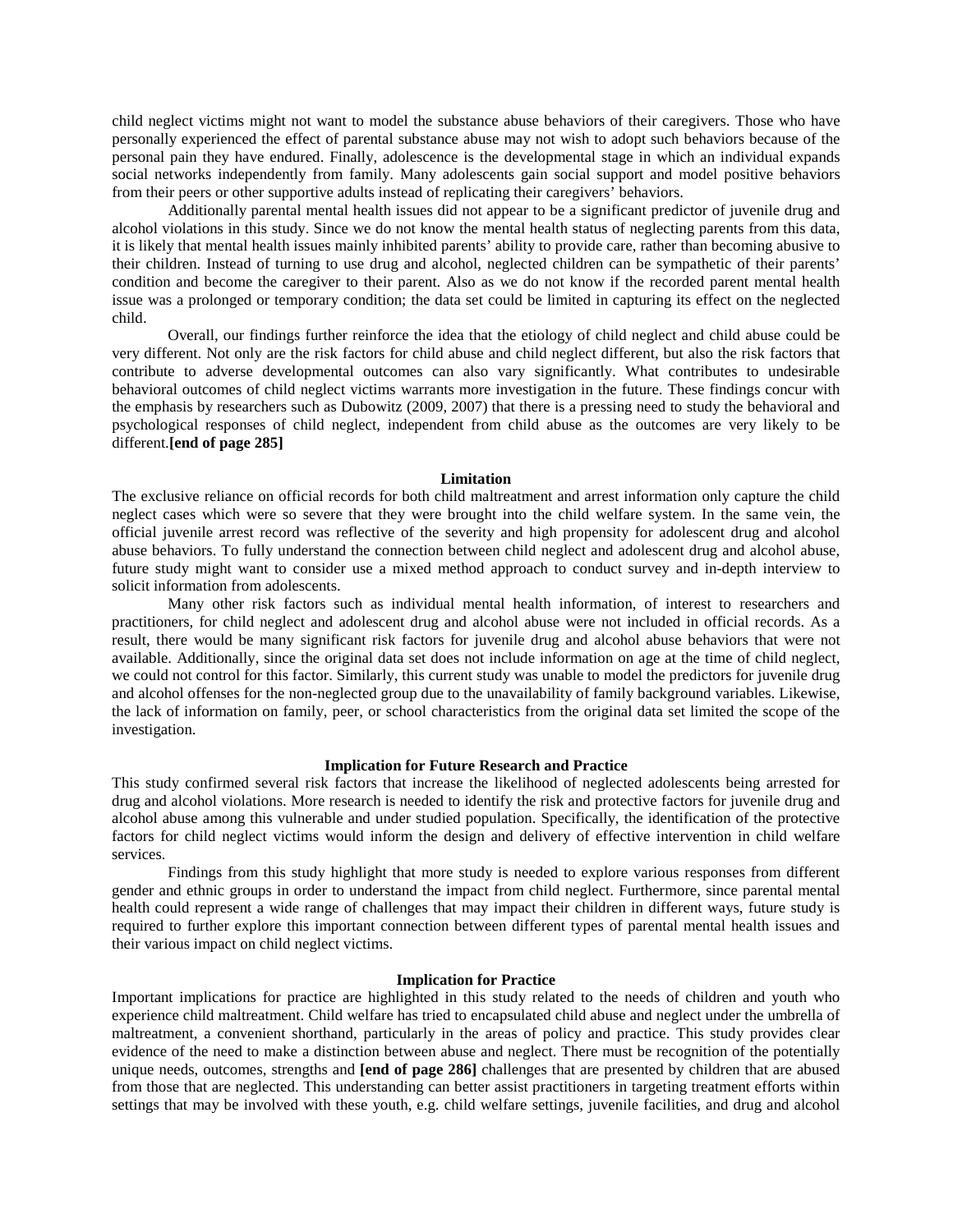child neglect victims might not want to model the substance abuse behaviors of their caregivers. Those who have personally experienced the effect of parental substance abuse may not wish to adopt such behaviors because of the personal pain they have endured. Finally, adolescence is the developmental stage in which an individual expands social networks independently from family. Many adolescents gain social support and model positive behaviors from their peers or other supportive adults instead of replicating their caregivers' behaviors.

Additionally parental mental health issues did not appear to be a significant predictor of juvenile drug and alcohol violations in this study. Since we do not know the mental health status of neglecting parents from this data, it is likely that mental health issues mainly inhibited parents' ability to provide care, rather than becoming abusive to their children. Instead of turning to use drug and alcohol, neglected children can be sympathetic of their parents' condition and become the caregiver to their parent. Also as we do not know if the recorded parent mental health issue was a prolonged or temporary condition; the data set could be limited in capturing its effect on the neglected child.

Overall, our findings further reinforce the idea that the etiology of child neglect and child abuse could be very different. Not only are the risk factors for child abuse and child neglect different, but also the risk factors that contribute to adverse developmental outcomes can also vary significantly. What contributes to undesirable behavioral outcomes of child neglect victims warrants more investigation in the future. These findings concur with the emphasis by researchers such as Dubowitz (2009, 2007) that there is a pressing need to study the behavioral and psychological responses of child neglect, independent from child abuse as the outcomes are very likely to be different.**[end of page 285]**

#### **Limitation**

The exclusive reliance on official records for both child maltreatment and arrest information only capture the child neglect cases which were so severe that they were brought into the child welfare system. In the same vein, the official juvenile arrest record was reflective of the severity and high propensity for adolescent drug and alcohol abuse behaviors. To fully understand the connection between child neglect and adolescent drug and alcohol abuse, future study might want to consider use a mixed method approach to conduct survey and in-depth interview to solicit information from adolescents.

Many other risk factors such as individual mental health information, of interest to researchers and practitioners, for child neglect and adolescent drug and alcohol abuse were not included in official records. As a result, there would be many significant risk factors for juvenile drug and alcohol abuse behaviors that were not available. Additionally, since the original data set does not include information on age at the time of child neglect, we could not control for this factor. Similarly, this current study was unable to model the predictors for juvenile drug and alcohol offenses for the non-neglected group due to the unavailability of family background variables. Likewise, the lack of information on family, peer, or school characteristics from the original data set limited the scope of the investigation.

#### **Implication for Future Research and Practice**

This study confirmed several risk factors that increase the likelihood of neglected adolescents being arrested for drug and alcohol violations. More research is needed to identify the risk and protective factors for juvenile drug and alcohol abuse among this vulnerable and under studied population. Specifically, the identification of the protective factors for child neglect victims would inform the design and delivery of effective intervention in child welfare services.

Findings from this study highlight that more study is needed to explore various responses from different gender and ethnic groups in order to understand the impact from child neglect. Furthermore, since parental mental health could represent a wide range of challenges that may impact their children in different ways, future study is required to further explore this important connection between different types of parental mental health issues and their various impact on child neglect victims.

#### **Implication for Practice**

Important implications for practice are highlighted in this study related to the needs of children and youth who experience child maltreatment. Child welfare has tried to encapsulated child abuse and neglect under the umbrella of maltreatment, a convenient shorthand, particularly in the areas of policy and practice. This study provides clear evidence of the need to make a distinction between abuse and neglect. There must be recognition of the potentially unique needs, outcomes, strengths and **[end of page 286]** challenges that are presented by children that are abused from those that are neglected. This understanding can better assist practitioners in targeting treatment efforts within settings that may be involved with these youth, e.g. child welfare settings, juvenile facilities, and drug and alcohol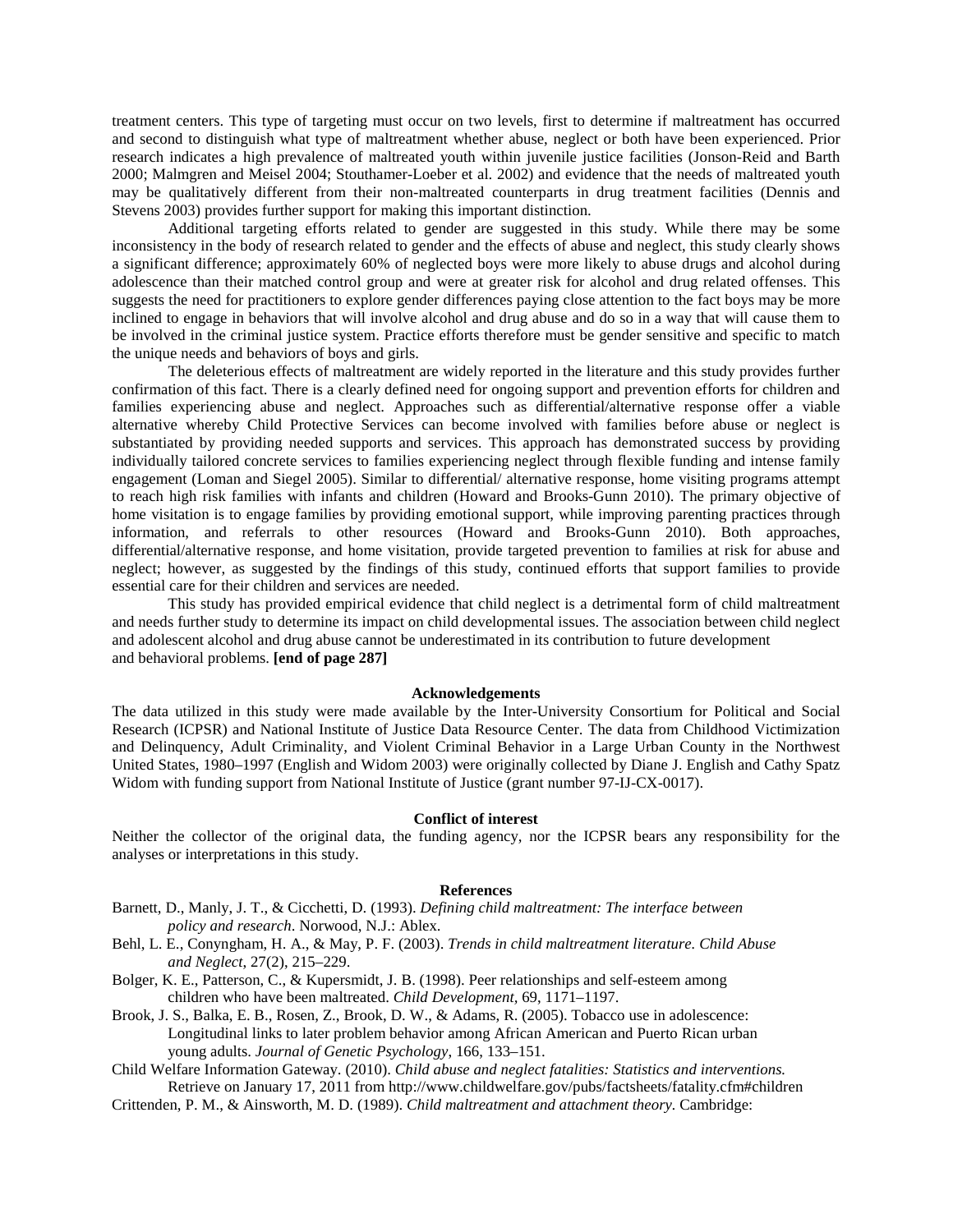treatment centers. This type of targeting must occur on two levels, first to determine if maltreatment has occurred and second to distinguish what type of maltreatment whether abuse, neglect or both have been experienced. Prior research indicates a high prevalence of maltreated youth within juvenile justice facilities (Jonson-Reid and Barth 2000; Malmgren and Meisel 2004; Stouthamer-Loeber et al. 2002) and evidence that the needs of maltreated youth may be qualitatively different from their non-maltreated counterparts in drug treatment facilities (Dennis and Stevens 2003) provides further support for making this important distinction.

Additional targeting efforts related to gender are suggested in this study. While there may be some inconsistency in the body of research related to gender and the effects of abuse and neglect, this study clearly shows a significant difference; approximately 60% of neglected boys were more likely to abuse drugs and alcohol during adolescence than their matched control group and were at greater risk for alcohol and drug related offenses. This suggests the need for practitioners to explore gender differences paying close attention to the fact boys may be more inclined to engage in behaviors that will involve alcohol and drug abuse and do so in a way that will cause them to be involved in the criminal justice system. Practice efforts therefore must be gender sensitive and specific to match the unique needs and behaviors of boys and girls.

The deleterious effects of maltreatment are widely reported in the literature and this study provides further confirmation of this fact. There is a clearly defined need for ongoing support and prevention efforts for children and families experiencing abuse and neglect. Approaches such as differential/alternative response offer a viable alternative whereby Child Protective Services can become involved with families before abuse or neglect is substantiated by providing needed supports and services. This approach has demonstrated success by providing individually tailored concrete services to families experiencing neglect through flexible funding and intense family engagement (Loman and Siegel 2005). Similar to differential/ alternative response, home visiting programs attempt to reach high risk families with infants and children (Howard and Brooks-Gunn 2010). The primary objective of home visitation is to engage families by providing emotional support, while improving parenting practices through information, and referrals to other resources (Howard and Brooks-Gunn 2010). Both approaches, differential/alternative response, and home visitation, provide targeted prevention to families at risk for abuse and neglect; however, as suggested by the findings of this study, continued efforts that support families to provide essential care for their children and services are needed.

This study has provided empirical evidence that child neglect is a detrimental form of child maltreatment and needs further study to determine its impact on child developmental issues. The association between child neglect and adolescent alcohol and drug abuse cannot be underestimated in its contribution to future development and behavioral problems. **[end of page 287]**

#### **Acknowledgements**

The data utilized in this study were made available by the Inter-University Consortium for Political and Social Research (ICPSR) and National Institute of Justice Data Resource Center. The data from Childhood Victimization and Delinquency, Adult Criminality, and Violent Criminal Behavior in a Large Urban County in the Northwest United States, 1980–1997 (English and Widom 2003) were originally collected by Diane J. English and Cathy Spatz Widom with funding support from National Institute of Justice (grant number 97-IJ-CX-0017).

#### **Conflict of interest**

Neither the collector of the original data, the funding agency, nor the ICPSR bears any responsibility for the analyses or interpretations in this study.

#### **References**

- Barnett, D., Manly, J. T., & Cicchetti, D. (1993). *Defining child maltreatment: The interface between policy and research*. Norwood, N.J.: Ablex.
- Behl, L. E., Conyngham, H. A., & May, P. F. (2003). *Trends in child maltreatment literature. Child Abuse and Neglect*, 27(2), 215–229.
- Bolger, K. E., Patterson, C., & Kupersmidt, J. B. (1998). Peer relationships and self-esteem among children who have been maltreated. *Child Development,* 69, 1171–1197.
- Brook, J. S., Balka, E. B., Rosen, Z., Brook, D. W., & Adams, R. (2005). Tobacco use in adolescence: Longitudinal links to later problem behavior among African American and Puerto Rican urban young adults. *Journal of Genetic Psychology*, 166, 133–151.

Child Welfare Information Gateway. (2010). *Child abuse and neglect fatalities: Statistics and interventions.* Retrieve on January 17, 2011 from http://www.childwelfare.gov/pubs/factsheets/fatality.cfm#children

Crittenden, P. M., & Ainsworth, M. D. (1989). *Child maltreatment and attachment theory.* Cambridge: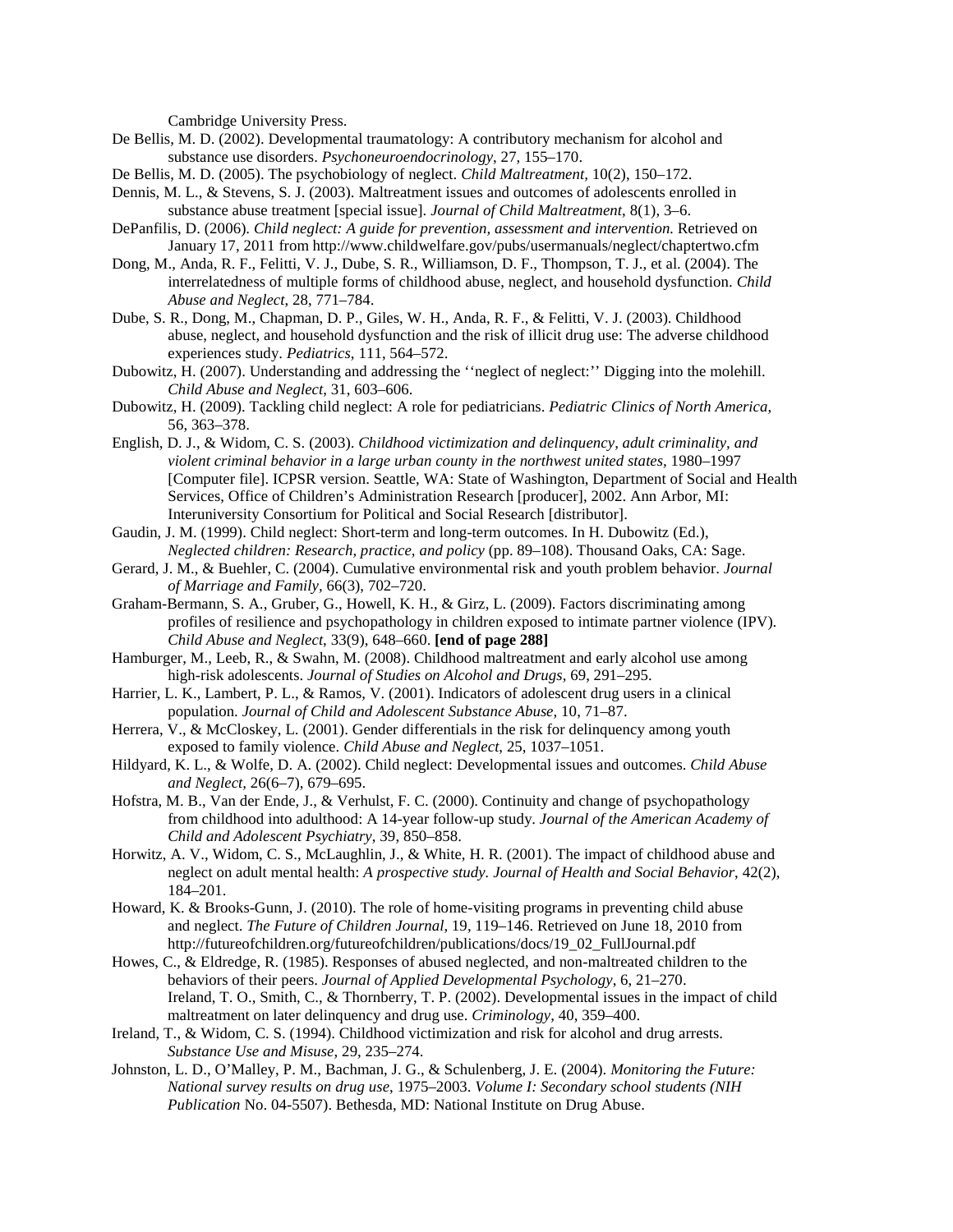Cambridge University Press.

- De Bellis, M. D. (2002). Developmental traumatology: A contributory mechanism for alcohol and substance use disorders. *Psychoneuroendocrinology*, 27, 155–170.
- De Bellis, M. D. (2005). The psychobiology of neglect. *Child Maltreatment,* 10(2), 150–172.
- Dennis, M. L., & Stevens, S. J. (2003). Maltreatment issues and outcomes of adolescents enrolled in substance abuse treatment [special issue]. *Journal of Child Maltreatment*, 8(1), 3–6.
- DePanfilis, D. (2006). *Child neglect: A guide for prevention, assessment and intervention.* Retrieved on January 17, 2011 from http://www.childwelfare.gov/pubs/usermanuals/neglect/chaptertwo.cfm
- Dong, M., Anda, R. F., Felitti, V. J., Dube, S. R., Williamson, D. F., Thompson, T. J., et al. (2004). The interrelatedness of multiple forms of childhood abuse, neglect, and household dysfunction. *Child Abuse and Neglect*, 28, 771–784.
- Dube, S. R., Dong, M., Chapman, D. P., Giles, W. H., Anda, R. F., & Felitti, V. J. (2003). Childhood abuse, neglect, and household dysfunction and the risk of illicit drug use: The adverse childhood experiences study. *Pediatrics*, 111, 564–572.
- Dubowitz, H. (2007). Understanding and addressing the ''neglect of neglect:'' Digging into the molehill. *Child Abuse and Neglect*, 31, 603–606.
- Dubowitz, H. (2009). Tackling child neglect: A role for pediatricians. *Pediatric Clinics of North America*, 56, 363–378.
- English, D. J., & Widom, C. S. (2003). *Childhood victimization and delinquency, adult criminality, and violent criminal behavior in a large urban county in the northwest united states,* 1980–1997 [Computer file]. ICPSR version. Seattle, WA: State of Washington, Department of Social and Health Services, Office of Children's Administration Research [producer], 2002. Ann Arbor, MI: Interuniversity Consortium for Political and Social Research [distributor].
- Gaudin, J. M. (1999). Child neglect: Short-term and long-term outcomes. In H. Dubowitz (Ed.), *Neglected children: Research, practice, and policy* (pp. 89–108). Thousand Oaks, CA: Sage.
- Gerard, J. M., & Buehler, C. (2004). Cumulative environmental risk and youth problem behavior. *Journal of Marriage and Family,* 66(3), 702–720.
- Graham-Bermann, S. A., Gruber, G., Howell, K. H., & Girz, L. (2009). Factors discriminating among profiles of resilience and psychopathology in children exposed to intimate partner violence (IPV). *Child Abuse and Neglect*, 33(9), 648–660. **[end of page 288]**
- Hamburger, M., Leeb, R., & Swahn, M. (2008). Childhood maltreatment and early alcohol use among high-risk adolescents. *Journal of Studies on Alcohol and Drugs*, 69, 291–295.
- Harrier, L. K., Lambert, P. L., & Ramos, V. (2001). Indicators of adolescent drug users in a clinical population. *Journal of Child and Adolescent Substance Abuse,* 10, 71–87.
- Herrera, V., & McCloskey, L. (2001). Gender differentials in the risk for delinquency among youth exposed to family violence. *Child Abuse and Neglect*, 25, 1037–1051.
- Hildyard, K. L., & Wolfe, D. A. (2002). Child neglect: Developmental issues and outcomes. *Child Abuse and Neglect,* 26(6–7), 679–695.
- Hofstra, M. B., Van der Ende, J., & Verhulst, F. C. (2000). Continuity and change of psychopathology from childhood into adulthood: A 14-year follow-up study. *Journal of the American Academy of Child and Adolescent Psychiatry*, 39, 850–858.
- Horwitz, A. V., Widom, C. S., McLaughlin, J., & White, H. R. (2001). The impact of childhood abuse and neglect on adult mental health: *A prospective study. Journal of Health and Social Behavior*, 42(2), 184–201.
- Howard, K. & Brooks-Gunn, J. (2010). The role of home-visiting programs in preventing child abuse and neglect. *The Future of Children Journal*, 19, 119–146. Retrieved on June 18, 2010 from http://futureofchildren.org/futureofchildren/publications/docs/19\_02\_FullJournal.pdf
- Howes, C., & Eldredge, R. (1985). Responses of abused neglected, and non-maltreated children to the behaviors of their peers. *Journal of Applied Developmental Psychology*, 6, 21–270. Ireland, T. O., Smith, C., & Thornberry, T. P. (2002). Developmental issues in the impact of child maltreatment on later delinquency and drug use. *Criminology,* 40, 359–400.
- Ireland, T., & Widom, C. S. (1994). Childhood victimization and risk for alcohol and drug arrests. *Substance Use and Misuse*, 29, 235–274.
- Johnston, L. D., O'Malley, P. M., Bachman, J. G., & Schulenberg, J. E. (2004). *Monitoring the Future: National survey results on drug use*, 1975–2003. *Volume I: Secondary school students (NIH Publication* No. 04-5507). Bethesda, MD: National Institute on Drug Abuse.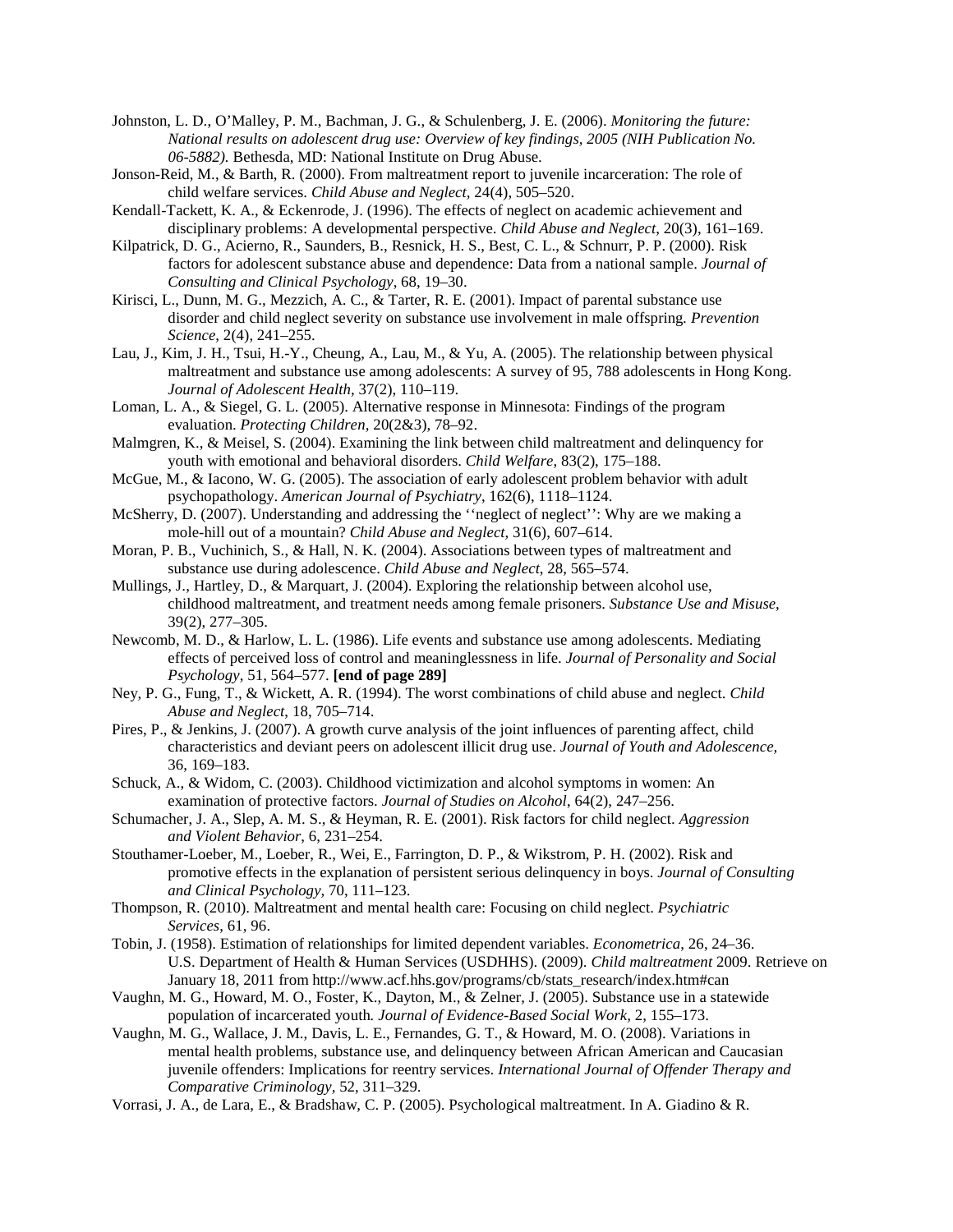- Johnston, L. D., O'Malley, P. M., Bachman, J. G., & Schulenberg, J. E. (2006). *Monitoring the future: National results on adolescent drug use: Overview of key findings, 2005 (NIH Publication No. 06-5882).* Bethesda, MD: National Institute on Drug Abuse.
- Jonson-Reid, M., & Barth, R. (2000). From maltreatment report to juvenile incarceration: The role of child welfare services. *Child Abuse and Neglect,* 24(4), 505–520.
- Kendall-Tackett, K. A., & Eckenrode, J. (1996). The effects of neglect on academic achievement and disciplinary problems: A developmental perspective. *Child Abuse and Neglect*, 20(3), 161–169.
- Kilpatrick, D. G., Acierno, R., Saunders, B., Resnick, H. S., Best, C. L., & Schnurr, P. P. (2000). Risk factors for adolescent substance abuse and dependence: Data from a national sample. *Journal of Consulting and Clinical Psychology*, 68, 19–30.
- Kirisci, L., Dunn, M. G., Mezzich, A. C., & Tarter, R. E. (2001). Impact of parental substance use disorder and child neglect severity on substance use involvement in male offspring*. Prevention Science*, 2(4), 241–255.
- Lau, J., Kim, J. H., Tsui, H.-Y., Cheung, A., Lau, M., & Yu, A. (2005). The relationship between physical maltreatment and substance use among adolescents: A survey of 95, 788 adolescents in Hong Kong. *Journal of Adolescent Health,* 37(2), 110–119.
- Loman, L. A., & Siegel, G. L. (2005). Alternative response in Minnesota: Findings of the program evaluation. *Protecting Children,* 20(2&3), 78–92.
- Malmgren, K., & Meisel, S. (2004). Examining the link between child maltreatment and delinquency for youth with emotional and behavioral disorders. *Child Welfare*, 83(2), 175–188.
- McGue, M., & Iacono, W. G. (2005). The association of early adolescent problem behavior with adult psychopathology. *American Journal of Psychiatry*, 162(6), 1118–1124.
- McSherry, D. (2007). Understanding and addressing the ''neglect of neglect'': Why are we making a mole-hill out of a mountain? *Child Abuse and Neglect,* 31(6), 607–614.
- Moran, P. B., Vuchinich, S., & Hall, N. K. (2004). Associations between types of maltreatment and substance use during adolescence. *Child Abuse and Neglect*, 28, 565–574.
- Mullings, J., Hartley, D., & Marquart, J. (2004). Exploring the relationship between alcohol use, childhood maltreatment, and treatment needs among female prisoners. *Substance Use and Misuse*, 39(2), 277–305.
- Newcomb, M. D., & Harlow, L. L. (1986). Life events and substance use among adolescents. Mediating effects of perceived loss of control and meaninglessness in life. *Journal of Personality and Social Psychology*, 51, 564–577. **[end of page 289]**
- Ney, P. G., Fung, T., & Wickett, A. R. (1994). The worst combinations of child abuse and neglect. *Child Abuse and Neglect*, 18, 705–714.
- Pires, P., & Jenkins, J. (2007). A growth curve analysis of the joint influences of parenting affect, child characteristics and deviant peers on adolescent illicit drug use. *Journal of Youth and Adolescence,* 36, 169–183.
- Schuck, A., & Widom, C. (2003). Childhood victimization and alcohol symptoms in women: An examination of protective factors. *Journal of Studies on Alcohol*, 64(2), 247–256.
- Schumacher, J. A., Slep, A. M. S., & Heyman, R. E. (2001). Risk factors for child neglect. *Aggression and Violent Behavior*, 6, 231–254.
- Stouthamer-Loeber, M., Loeber, R., Wei, E., Farrington, D. P., & Wikstrom, P. H. (2002). Risk and promotive effects in the explanation of persistent serious delinquency in boys. *Journal of Consulting and Clinical Psychology,* 70, 111–123.
- Thompson, R. (2010). Maltreatment and mental health care: Focusing on child neglect. *Psychiatric Services*, 61, 96.
- Tobin, J. (1958). Estimation of relationships for limited dependent variables. *Econometrica*, 26, 24–36. U.S. Department of Health & Human Services (USDHHS). (2009). *Child maltreatment* 2009. Retrieve on January 18, 2011 from http://www.acf.hhs.gov/programs/cb/stats\_research/index.htm#can
- Vaughn, M. G., Howard, M. O., Foster, K., Dayton, M., & Zelner, J. (2005). Substance use in a statewide population of incarcerated youth*. Journal of Evidence-Based Social Work,* 2, 155–173.
- Vaughn, M. G., Wallace, J. M., Davis, L. E., Fernandes, G. T., & Howard, M. O. (2008). Variations in mental health problems, substance use, and delinquency between African American and Caucasian juvenile offenders: Implications for reentry services. *International Journal of Offender Therapy and Comparative Criminology,* 52, 311–329.
- Vorrasi, J. A., de Lara, E., & Bradshaw, C. P. (2005). Psychological maltreatment. In A. Giadino & R.